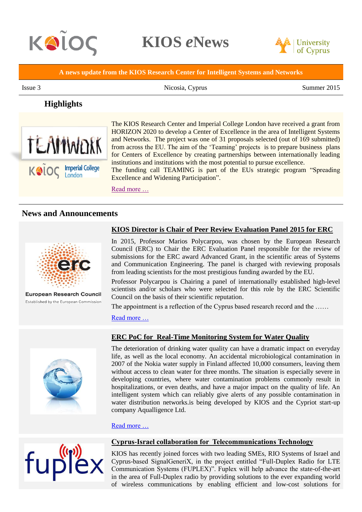

**KIOS** *e***News**



**A news update from the KIOS Research Center for Intelligent Systems and Networks**

Issue 3 Nicosia, Cyprus Summer 2015

# **Highlights**



The KIOS Research Center and Imperial College London have received a grant from HORIZON 2020 to develop a Center of Excellence in the area of Intelligent Systems and Networks. The project was one of 31 proposals selected (out of 169 submitted) from across the EU. The aim of the 'Teaming' projects is to prepare business plans for Centers of Excellence by creating partnerships between internationally leading institutions and institutions with the most potential to pursue excellence.

The funding call TEAMING is part of the EUs strategic program "Spreading Excellence and Widening Participation".

[Read more …](http://www.kios.ucy.ac.cy/component/content/article/237-nnvative-research-wins-prize-at-international-competition-organized-by-microsoft-research-usa.html)

## **News and Announcements**



European Research Council Established by the European Commission

#### **KIOS Director is Chair of Peer Review Evaluation Panel 2015 for ERC**

In 2015, Professor Marios Polycarpou, was chosen by the European Research Council (ERC) to Chair the ERC Evaluation Panel responsible for the review of submissions for the ERC award Advanced Grant, in the scientific areas of Systems and Communication Engineering. The panel is charged with reviewing proposals from leading scientists for the most prestigious funding awarded by the EU.

Professor Polycarpou is Chairing a panel of internationally established high-level scientists and/or scholars who were selected for this role by the ERC Scientific Council on the basis of their scientific reputation.

The appointment is a reflection of the Cyprus based research record and the ......

[Read more …](http://www.kios.ucy.ac.cy/component/content/article/237-nnvative-research-wins-prize-at-international-competition-organized-by-microsoft-research-usa.html)



## **ERC PoC for Real-Time Monitoring System for Water Quality**

The deterioration of drinking water quality can have a dramatic impact on everyday life, as well as the local economy. An accidental microbiological contamination in 2007 of the Nokia water supply in Finland affected 10,000 consumers, leaving them without access to clean water for three months. The situation is especially severe in developing countries, where water contamination problems commonly result in hospitalizations, or even deaths, and have a major impact on the quality of life. An intelligent system which can reliably give alerts of any possible contamination in water distribution networks.is being developed by KIOS and the Cypriot start-up company Aqualligence Ltd.

#### [Read more …](http://www.kios.ucy.ac.cy/component/content/article/237-nnvative-research-wins-prize-at-international-competition-organized-by-microsoft-research-usa.html)



#### **Cyprus-Israel collaboration for Telecommunications Technology**

KIOS has recently joined forces with two leading SMEs, RIO Systems of Israel and Cyprus-based SignalGeneriX, in the project entitled "Full-Duplex Radio for LTE Communication Systems (FUPLEX)". Fuplex will help advance the state-of-the-art in the area of Full-Duplex radio by providing solutions to the ever expanding world of wireless communications by enabling efficient and low-cost solutions for